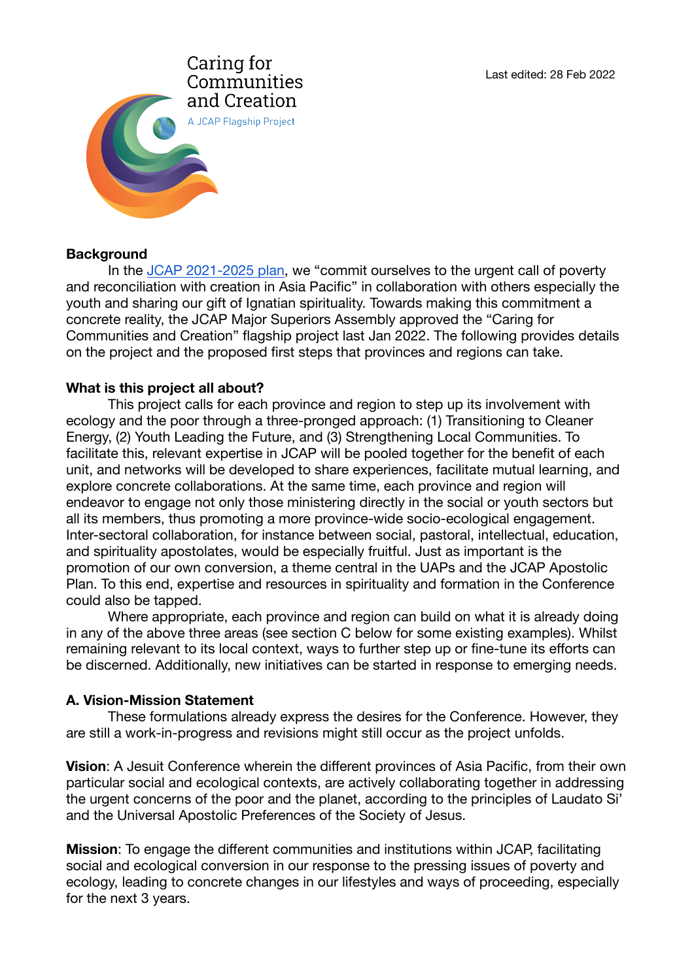

### **Background**

In the [JCAP 2021-2025 plan](https://jcapsj.org/wp-content/uploads/1/2021/05/JCAP-Apostolic-Plan-2021-2025_for-web.pdf), we "commit ourselves to the urgent call of poverty and reconciliation with creation in Asia Pacific" in collaboration with others especially the youth and sharing our gift of Ignatian spirituality. Towards making this commitment a concrete reality, the JCAP Major Superiors Assembly approved the "Caring for Communities and Creation" flagship project last Jan 2022. The following provides details on the project and the proposed first steps that provinces and regions can take.

### **What is this project all about?**

This project calls for each province and region to step up its involvement with ecology and the poor through a three-pronged approach: (1) Transitioning to Cleaner Energy, (2) Youth Leading the Future, and (3) Strengthening Local Communities. To facilitate this, relevant expertise in JCAP will be pooled together for the benefit of each unit, and networks will be developed to share experiences, facilitate mutual learning, and explore concrete collaborations. At the same time, each province and region will endeavor to engage not only those ministering directly in the social or youth sectors but all its members, thus promoting a more province-wide socio-ecological engagement. Inter-sectoral collaboration, for instance between social, pastoral, intellectual, education, and spirituality apostolates, would be especially fruitful. Just as important is the promotion of our own conversion, a theme central in the UAPs and the JCAP Apostolic Plan. To this end, expertise and resources in spirituality and formation in the Conference could also be tapped.

Where appropriate, each province and region can build on what it is already doing in any of the above three areas (see section C below for some existing examples). Whilst remaining relevant to its local context, ways to further step up or fine-tune its efforts can be discerned. Additionally, new initiatives can be started in response to emerging needs.

### **A. Vision-Mission Statement**

These formulations already express the desires for the Conference. However, they are still a work-in-progress and revisions might still occur as the project unfolds.

**Vision**: A Jesuit Conference wherein the different provinces of Asia Pacific, from their own particular social and ecological contexts, are actively collaborating together in addressing the urgent concerns of the poor and the planet, according to the principles of Laudato Si' and the Universal Apostolic Preferences of the Society of Jesus.

**Mission**: To engage the different communities and institutions within JCAP, facilitating social and ecological conversion in our response to the pressing issues of poverty and ecology, leading to concrete changes in our lifestyles and ways of proceeding, especially for the next 3 years.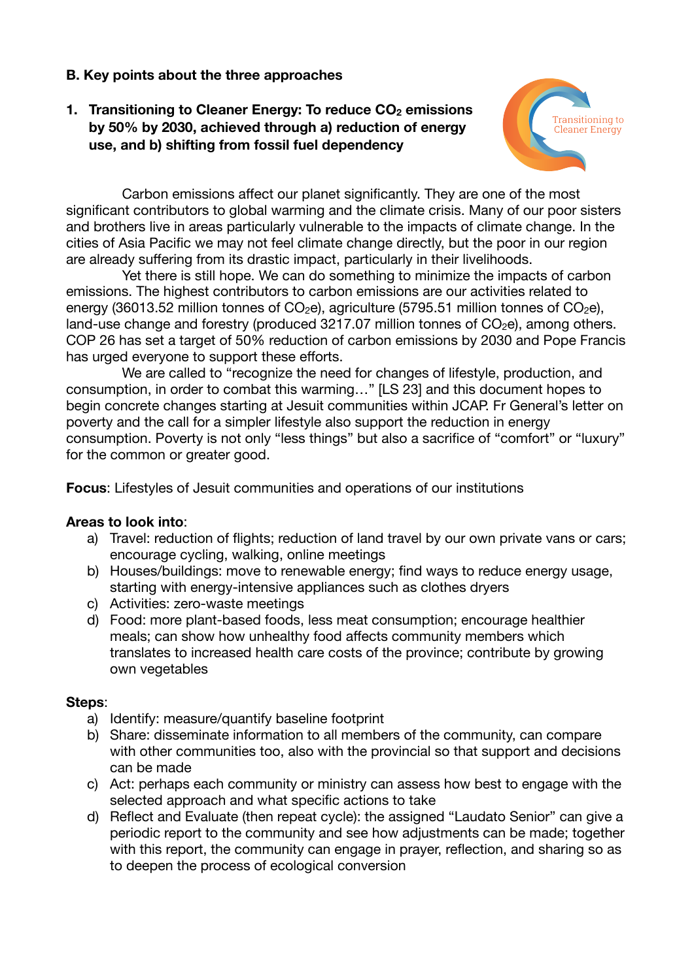# **B. Key points about the three approaches**

# **1. Transitioning to Cleaner Energy: To reduce CO<sub>2</sub> emissions by 50% by 2030, achieved through a) reduction of energy use, and b) shifting from fossil fuel dependency**



Carbon emissions affect our planet significantly. They are one of the most significant contributors to global warming and the climate crisis. Many of our poor sisters and brothers live in areas particularly vulnerable to the impacts of climate change. In the cities of Asia Pacific we may not feel climate change directly, but the poor in our region are already suffering from its drastic impact, particularly in their livelihoods.

Yet there is still hope. We can do something to minimize the impacts of carbon emissions. The highest contributors to carbon emissions are our activities related to energy (36013.52 million tonnes of  $CO<sub>2</sub>e$ ), agriculture (5795.51 million tonnes of  $CO<sub>2</sub>e$ ), land-use change and forestry (produced  $3217.07$  million tonnes of  $CO<sub>2</sub>e$ ), among others. COP 26 has set a target of 50% reduction of carbon emissions by 2030 and Pope Francis has urged everyone to support these efforts.

We are called to "recognize the need for changes of lifestyle, production, and consumption, in order to combat this warming…" [LS 23] and this document hopes to begin concrete changes starting at Jesuit communities within JCAP. Fr General's letter on poverty and the call for a simpler lifestyle also support the reduction in energy consumption. Poverty is not only "less things" but also a sacrifice of "comfort" or "luxury" for the common or greater good.

**Focus**: Lifestyles of Jesuit communities and operations of our institutions

### **Areas to look into**:

- a) Travel: reduction of flights; reduction of land travel by our own private vans or cars; encourage cycling, walking, online meetings
- b) Houses/buildings: move to renewable energy; find ways to reduce energy usage, starting with energy-intensive appliances such as clothes dryers
- c) Activities: zero-waste meetings
- d) Food: more plant-based foods, less meat consumption; encourage healthier meals; can show how unhealthy food affects community members which translates to increased health care costs of the province; contribute by growing own vegetables

### **Steps**:

- a) Identify: measure/quantify baseline footprint
- b) Share: disseminate information to all members of the community, can compare with other communities too, also with the provincial so that support and decisions can be made
- c) Act: perhaps each community or ministry can assess how best to engage with the selected approach and what specific actions to take
- d) Reflect and Evaluate (then repeat cycle): the assigned "Laudato Senior" can give a periodic report to the community and see how adjustments can be made; together with this report, the community can engage in prayer, reflection, and sharing so as to deepen the process of ecological conversion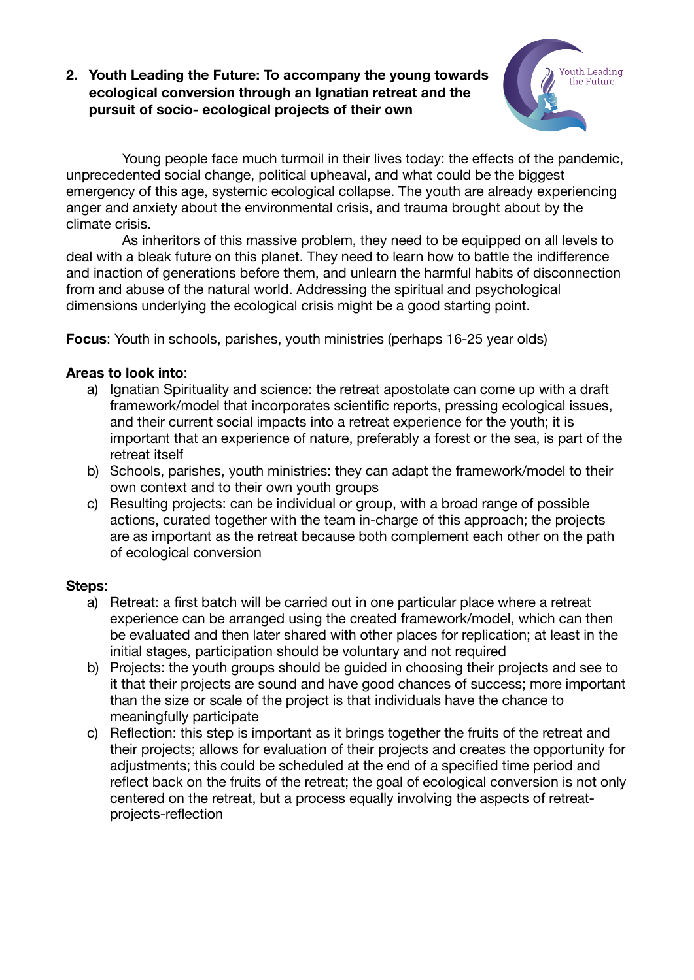## **2. Youth Leading the Future: To accompany the young towards ecological conversion through an Ignatian retreat and the pursuit of socio- ecological projects of their own**



Young people face much turmoil in their lives today: the effects of the pandemic, unprecedented social change, political upheaval, and what could be the biggest emergency of this age, systemic ecological collapse. The youth are already experiencing anger and anxiety about the environmental crisis, and trauma brought about by the climate crisis.

As inheritors of this massive problem, they need to be equipped on all levels to deal with a bleak future on this planet. They need to learn how to battle the indifference and inaction of generations before them, and unlearn the harmful habits of disconnection from and abuse of the natural world. Addressing the spiritual and psychological dimensions underlying the ecological crisis might be a good starting point.

**Focus:** Youth in schools, parishes, youth ministries (perhaps 16-25 year olds)

## **Areas to look into**:

- a) Ignatian Spirituality and science: the retreat apostolate can come up with a draft framework/model that incorporates scientific reports, pressing ecological issues, and their current social impacts into a retreat experience for the youth; it is important that an experience of nature, preferably a forest or the sea, is part of the retreat itself
- b) Schools, parishes, youth ministries: they can adapt the framework/model to their own context and to their own youth groups
- c) Resulting projects: can be individual or group, with a broad range of possible actions, curated together with the team in-charge of this approach; the projects are as important as the retreat because both complement each other on the path of ecological conversion

# **Steps**:

- a) Retreat: a first batch will be carried out in one particular place where a retreat experience can be arranged using the created framework/model, which can then be evaluated and then later shared with other places for replication; at least in the initial stages, participation should be voluntary and not required
- b) Projects: the youth groups should be guided in choosing their projects and see to it that their projects are sound and have good chances of success; more important than the size or scale of the project is that individuals have the chance to meaningfully participate
- c) Reflection: this step is important as it brings together the fruits of the retreat and their projects; allows for evaluation of their projects and creates the opportunity for adjustments; this could be scheduled at the end of a specified time period and reflect back on the fruits of the retreat; the goal of ecological conversion is not only centered on the retreat, but a process equally involving the aspects of retreatprojects-reflection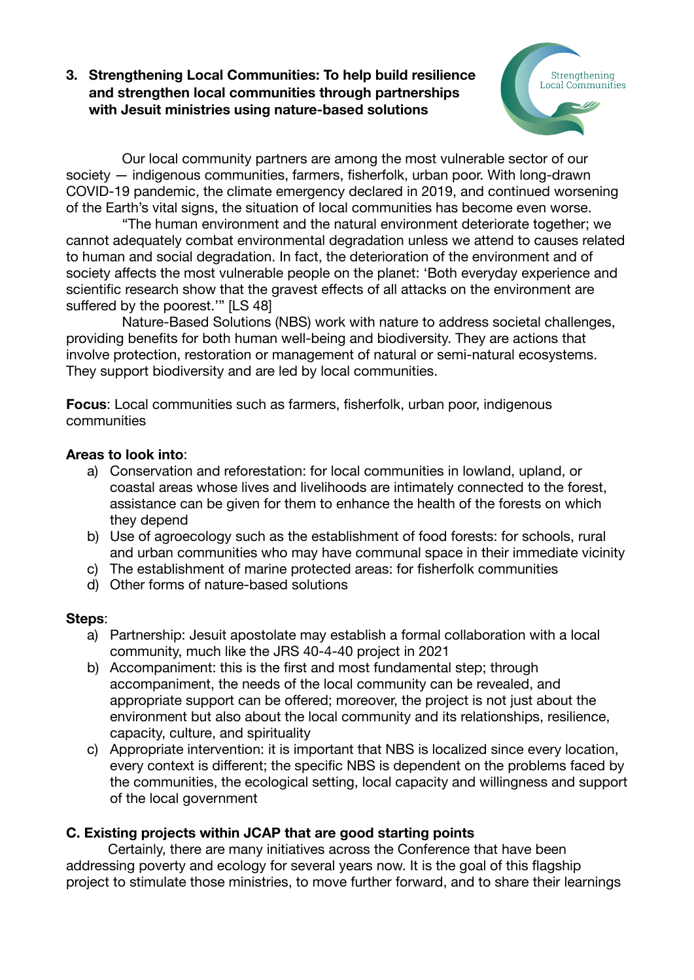# **3. Strengthening Local Communities: To help build resilience and strengthen local communities through partnerships with Jesuit ministries using nature-based solutions**



Our local community partners are among the most vulnerable sector of our society — indigenous communities, farmers, fisherfolk, urban poor. With long-drawn COVID-19 pandemic, the climate emergency declared in 2019, and continued worsening of the Earth's vital signs, the situation of local communities has become even worse.

"The human environment and the natural environment deteriorate together; we cannot adequately combat environmental degradation unless we attend to causes related to human and social degradation. In fact, the deterioration of the environment and of society affects the most vulnerable people on the planet: 'Both everyday experience and scientific research show that the gravest effects of all attacks on the environment are suffered by the poorest.'" [LS 48]

Nature-Based Solutions (NBS) work with nature to address societal challenges, providing benefits for both human well-being and biodiversity. They are actions that involve protection, restoration or management of natural or semi-natural ecosystems. They support biodiversity and are led by local communities.

**Focus**: Local communities such as farmers, fisherfolk, urban poor, indigenous communities

## **Areas to look into**:

- a) Conservation and reforestation: for local communities in lowland, upland, or coastal areas whose lives and livelihoods are intimately connected to the forest, assistance can be given for them to enhance the health of the forests on which they depend
- b) Use of agroecology such as the establishment of food forests: for schools, rural and urban communities who may have communal space in their immediate vicinity
- c) The establishment of marine protected areas: for fisherfolk communities
- d) Other forms of nature-based solutions

### **Steps**:

- a) Partnership: Jesuit apostolate may establish a formal collaboration with a local community, much like the JRS 40-4-40 project in 2021
- b) Accompaniment: this is the first and most fundamental step; through accompaniment, the needs of the local community can be revealed, and appropriate support can be offered; moreover, the project is not just about the environment but also about the local community and its relationships, resilience, capacity, culture, and spirituality
- c) Appropriate intervention: it is important that NBS is localized since every location, every context is different; the specific NBS is dependent on the problems faced by the communities, the ecological setting, local capacity and willingness and support of the local government

# **C. Existing projects within JCAP that are good starting points**

Certainly, there are many initiatives across the Conference that have been addressing poverty and ecology for several years now. It is the goal of this flagship project to stimulate those ministries, to move further forward, and to share their learnings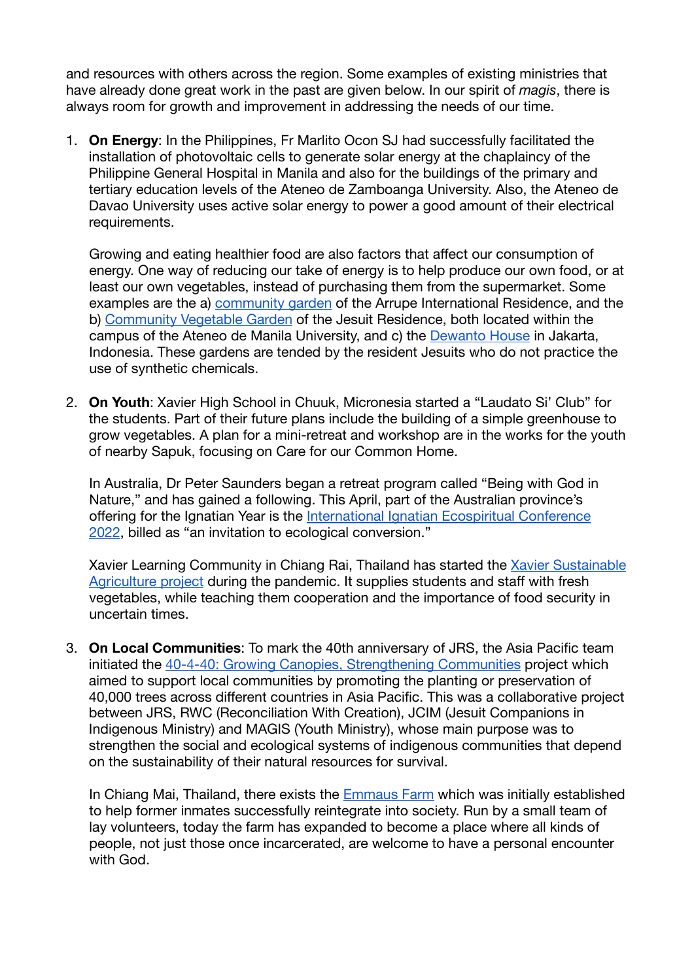and resources with others across the region. Some examples of existing ministries that have already done great work in the past are given below. In our spirit of *magis*, there is always room for growth and improvement in addressing the needs of our time.

1. **On Energy**: In the Philippines, Fr Marlito Ocon SJ had successfully facilitated the installation of photovoltaic cells to generate solar energy at the chaplaincy of the Philippine General Hospital in Manila and also for the buildings of the primary and tertiary education levels of the Ateneo de Zamboanga University. Also, the Ateneo de Davao University uses active solar energy to power a good amount of their electrical requirements.

Growing and eating healthier food are also factors that affect our consumption of energy. One way of reducing our take of energy is to help produce our own food, or at least our own vegetables, instead of purchasing them from the supermarket. Some examples are the a) [community garden](https://jcapsj.org/blog/2020/09/08/nurturing-the-ecological-dimension-of-my-jesuit-vocation/) of the Arrupe International Residence, and the b) [Community Vegetable Garden](https://jcapsj.org/blog/2021/04/29/coveg-20-gods-gift-of-creativity-and-good-health/) of the Jesuit Residence, both located within the campus of the Ateneo de Manila University, and c) the [Dewanto House](https://jcapsj.org/blog/2021/01/27/sowing-a-garden-in-jakartas-urban-jungle/) in Jakarta, Indonesia. These gardens are tended by the resident Jesuits who do not practice the use of synthetic chemicals.

2. **On Youth**: Xavier High School in Chuuk, Micronesia started a "Laudato Si' Club" for the students. Part of their future plans include the building of a simple greenhouse to grow vegetables. A plan for a mini-retreat and workshop are in the works for the youth of nearby Sapuk, focusing on Care for our Common Home.

In Australia, Dr Peter Saunders began a retreat program called "Being with God in Nature," and has gained a following. This April, part of the Australian province's offering for the Ignatian Year is the International Ignatian Ecospiritual Conference [2022](https://iiec.org.au/), billed as "an invitation to ecological conversion."

Xavier Learning Community in Chiang Rai, Thailand has started the [Xavier Sustainable](https://jcapsj.org/blog/2021/11/08/practising-sustainable-agriculture-at-xavier-learning-community/)  [Agriculture project](https://jcapsj.org/blog/2021/11/08/practising-sustainable-agriculture-at-xavier-learning-community/) during the pandemic. It supplies students and staff with fresh vegetables, while teaching them cooperation and the importance of food security in uncertain times.

3. **On Local Communities**: To mark the 40th anniversary of JRS, the Asia Pacific team initiated the [40-4-40: Growing Canopies, Strengthening Communities](https://jcapsj.org/blog/2021/10/11/growing-canopies-and-strengthening-communities-in-the-forests-of-southeast-asia/) project which aimed to support local communities by promoting the planting or preservation of 40,000 trees across different countries in Asia Pacific. This was a collaborative project between JRS, RWC (Reconciliation With Creation), JCIM (Jesuit Companions in Indigenous Ministry) and MAGIS (Youth Ministry), whose main purpose was to strengthen the social and ecological systems of indigenous communities that depend on the sustainability of their natural resources for survival.

In Chiang Mai, Thailand, there exists the **[Emmaus Farm](https://jcapsj.org/blog/2020/06/23/a-farm-with-the-uaps-at-the-centre/) which was initially established** to help former inmates successfully reintegrate into society. Run by a small team of lay volunteers, today the farm has expanded to become a place where all kinds of people, not just those once incarcerated, are welcome to have a personal encounter with God.